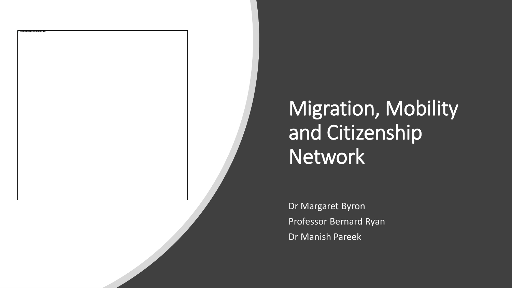## Migration, Mobility and Citizenship Network

Dr Margaret Byron Professor Bernard Ryan Dr Manish Pareek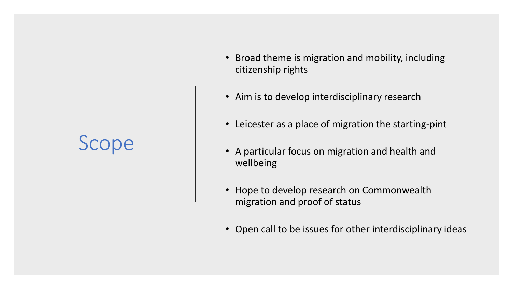### Scope

- Broad theme is migration and mobility, including citizenship rights
- Aim is to develop interdisciplinary research
- Leicester as a place of migration the starting-pint
- A particular focus on migration and health and wellbeing
- Hope to develop research on Commonwealth migration and proof of status
- Open call to be issues for other interdisciplinary ideas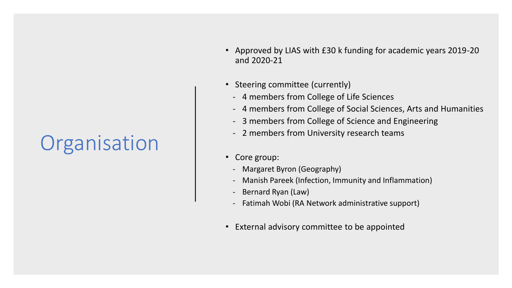# **Organisation**

- Approved by LIAS with £30 k funding for academic years 2019-20 and 2020-21
- Steering committee (currently)
	- 4 members from College of Life Sciences
	- 4 members from College of Social Sciences, Arts and Humanities
	- 3 members from College of Science and Engineering
	- 2 members from University research teams
- Core group:
	- Margaret Byron (Geography)
	- Manish Pareek (Infection, Immunity and Inflammation)
	- Bernard Ryan (Law)
	- Fatimah Wobi (RA Network administrative support)
- External advisory committee to be appointed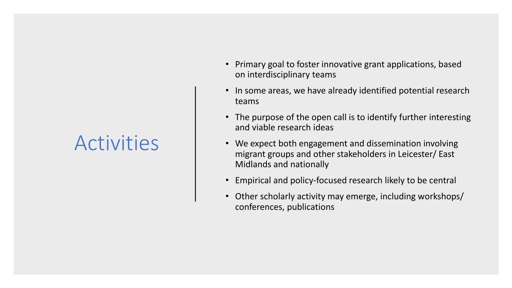#### **Activities**

- Primary goal to foster innovative grant applications, based on interdisciplinary teams
- In some areas, we have already identified potential research teams
- The purpose of the open call is to identify further interesting and viable research ideas
- We expect both engagement and dissemination involving migrant groups and other stakeholders in Leicester/ East Midlands and nationally
- Empirical and policy-focused research likely to be central
- Other scholarly activity may emerge, including workshops/ conferences, publications